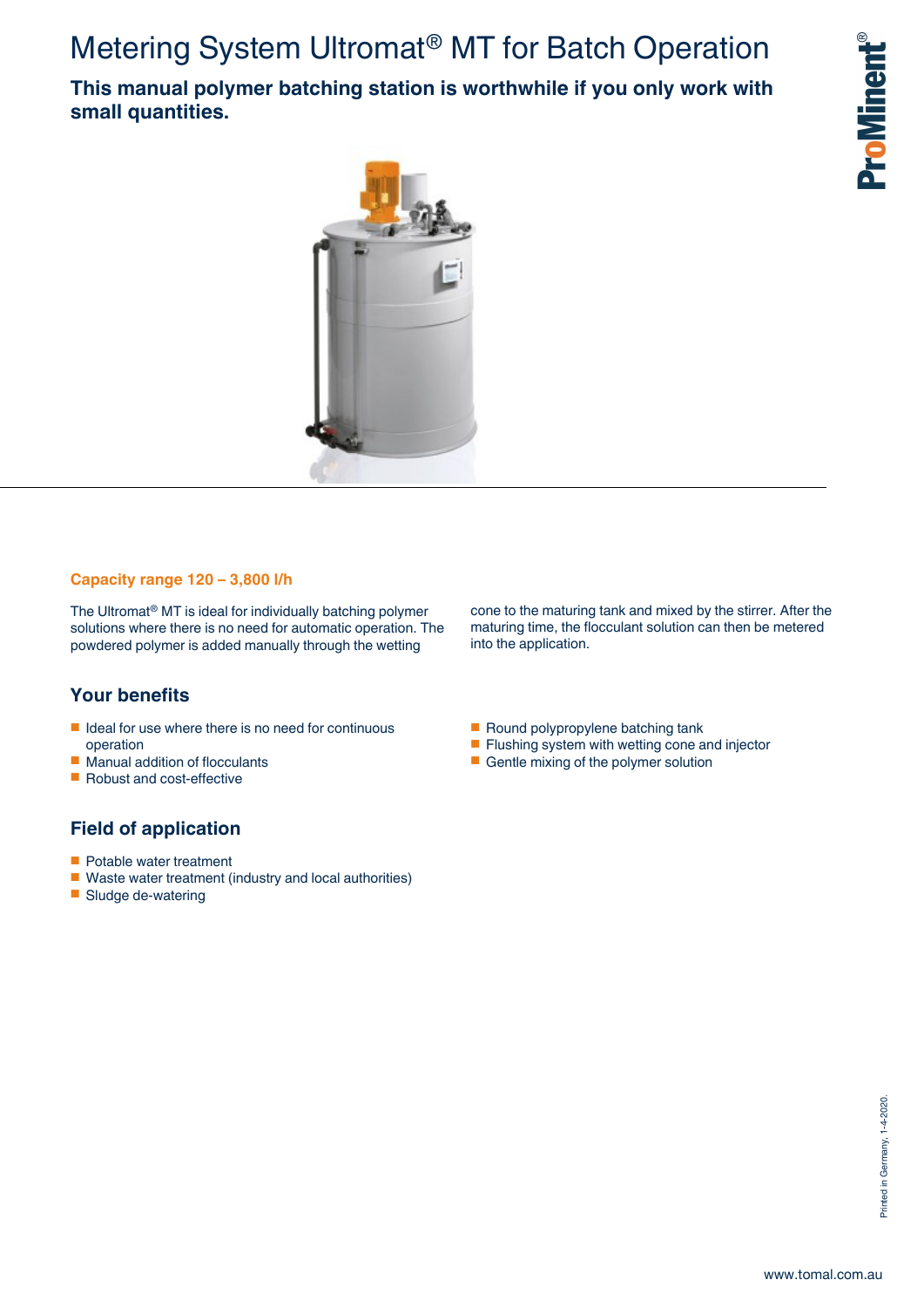# Metering System Ultromat® MT for Batch Operation

**This manual polymer batching station is worthwhile if you only work with small quantities.**



### **Capacity range 120 – 3,800 l/h**

The Ultromat® MT is ideal for individually batching polymer solutions where there is no need for automatic operation. The powdered polymer is added manually through the wetting

### **Your benefits**

- Ideal for use where there is no need for continuous operation
- Manual addition of flocculants
- Robust and cost-effective

### **Field of application**

- Potable water treatment
- Waste water treatment (industry and local authorities)
- Sludge de-watering

cone to the maturing tank and mixed by the stirrer. After the maturing time, the flocculant solution can then be metered into the application.

- Round polypropylene batching tank
- Flushing system with wetting cone and injector
- Gentle mixing of the polymer solution